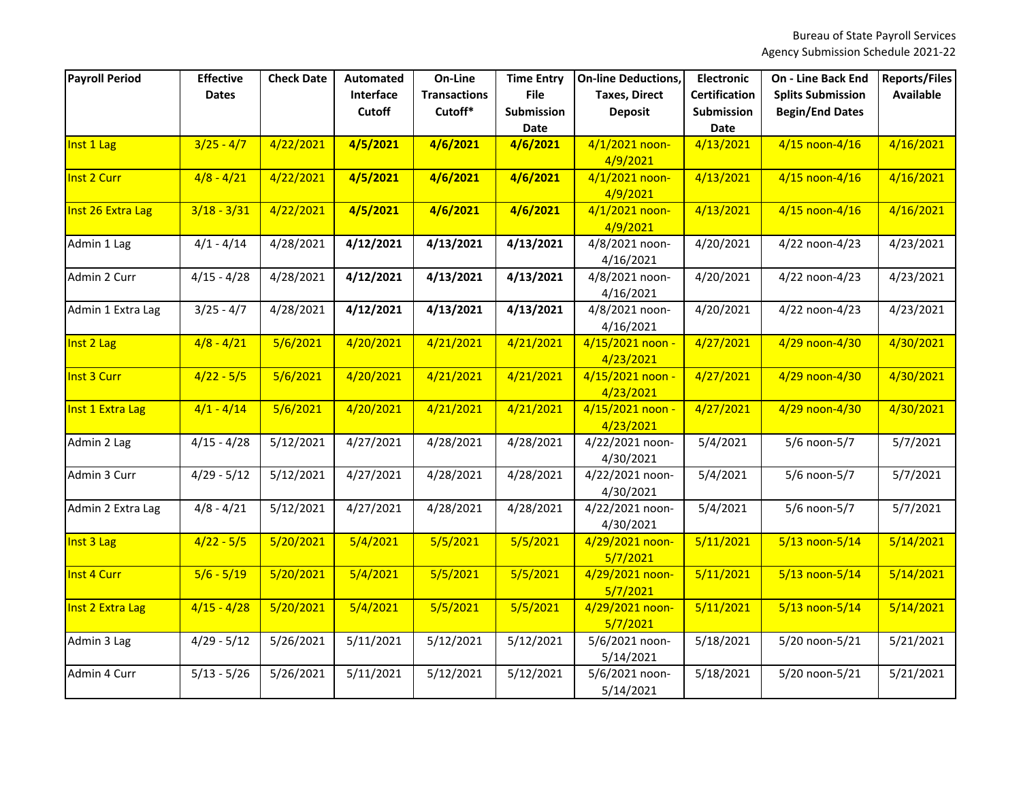| <b>Payroll Period</b> | <b>Effective</b> | <b>Check Date</b> | <b>Automated</b>           | On-Line                        | <b>Time Entry</b>                | <b>On-line Deductions,</b>             | <b>Electronic</b>                         | <b>On - Line Back End</b>                          | <b>Reports/Files</b> |
|-----------------------|------------------|-------------------|----------------------------|--------------------------------|----------------------------------|----------------------------------------|-------------------------------------------|----------------------------------------------------|----------------------|
|                       | <b>Dates</b>     |                   | Interface<br><b>Cutoff</b> | <b>Transactions</b><br>Cutoff* | <b>File</b><br><b>Submission</b> | <b>Taxes, Direct</b><br><b>Deposit</b> | <b>Certification</b><br><b>Submission</b> | <b>Splits Submission</b><br><b>Begin/End Dates</b> | <b>Available</b>     |
|                       |                  |                   |                            |                                | Date                             |                                        | <b>Date</b>                               |                                                    |                      |
| Inst 1 Lag            | $3/25 - 4/7$     | 4/22/2021         | 4/5/2021                   | 4/6/2021                       | 4/6/2021                         | 4/1/2021 noon-                         | 4/13/2021                                 | 4/15 noon-4/16                                     | 4/16/2021            |
|                       |                  |                   |                            |                                |                                  | 4/9/2021                               |                                           |                                                    |                      |
| Inst 2 Curr           | $4/8 - 4/21$     | 4/22/2021         | 4/5/2021                   | 4/6/2021                       | 4/6/2021                         | 4/1/2021 noon-<br>4/9/2021             | 4/13/2021                                 | 4/15 noon-4/16                                     | 4/16/2021            |
| Inst 26 Extra Lag     | $3/18 - 3/31$    | 4/22/2021         | 4/5/2021                   | 4/6/2021                       | 4/6/2021                         | 4/1/2021 noon-                         | 4/13/2021                                 | 4/15 noon-4/16                                     | 4/16/2021            |
|                       |                  |                   |                            |                                |                                  | 4/9/2021                               |                                           |                                                    |                      |
| Admin 1 Lag           | $4/1 - 4/14$     | 4/28/2021         | 4/12/2021                  | 4/13/2021                      | 4/13/2021                        | 4/8/2021 noon-                         | 4/20/2021                                 | 4/22 noon-4/23                                     | 4/23/2021            |
|                       |                  |                   |                            |                                |                                  | 4/16/2021                              |                                           |                                                    |                      |
| Admin 2 Curr          | $4/15 - 4/28$    | 4/28/2021         | 4/12/2021                  | 4/13/2021                      | 4/13/2021                        | 4/8/2021 noon-                         | 4/20/2021                                 | 4/22 noon-4/23                                     | 4/23/2021            |
|                       |                  |                   |                            |                                |                                  | 4/16/2021                              |                                           |                                                    |                      |
| Admin 1 Extra Lag     | $3/25 - 4/7$     | 4/28/2021         | 4/12/2021                  | 4/13/2021                      | 4/13/2021                        | 4/8/2021 noon-                         | 4/20/2021                                 | 4/22 noon-4/23                                     | 4/23/2021            |
|                       |                  |                   |                            |                                |                                  | 4/16/2021                              |                                           |                                                    |                      |
| Inst 2 Lag            | $4/8 - 4/21$     | 5/6/2021          | 4/20/2021                  | 4/21/2021                      | 4/21/2021                        | 4/15/2021 noon -<br>4/23/2021          | 4/27/2021                                 | 4/29 noon-4/30                                     | 4/30/2021            |
| Inst 3 Curr           | $4/22 - 5/5$     | 5/6/2021          | 4/20/2021                  | 4/21/2021                      | 4/21/2021                        | 4/15/2021 noon -                       | 4/27/2021                                 | 4/29 noon-4/30                                     | 4/30/2021            |
|                       |                  |                   |                            |                                |                                  | 4/23/2021                              |                                           |                                                    |                      |
| Inst 1 Extra Lag      | $4/1 - 4/14$     | 5/6/2021          | 4/20/2021                  | 4/21/2021                      | 4/21/2021                        | 4/15/2021 noon -                       | 4/27/2021                                 | 4/29 noon-4/30                                     | 4/30/2021            |
|                       |                  |                   |                            |                                |                                  | 4/23/2021                              |                                           |                                                    |                      |
| Admin 2 Lag           | $4/15 - 4/28$    | 5/12/2021         | 4/27/2021                  | 4/28/2021                      | 4/28/2021                        | 4/22/2021 noon-                        | 5/4/2021                                  | 5/6 noon-5/7                                       | 5/7/2021             |
|                       |                  |                   |                            |                                |                                  | 4/30/2021                              |                                           |                                                    |                      |
| Admin 3 Curr          | $4/29 - 5/12$    | 5/12/2021         | 4/27/2021                  | 4/28/2021                      | 4/28/2021                        | 4/22/2021 noon-                        | 5/4/2021                                  | 5/6 noon-5/7                                       | 5/7/2021             |
|                       |                  |                   |                            |                                |                                  | 4/30/2021                              |                                           |                                                    |                      |
| Admin 2 Extra Lag     | $4/8 - 4/21$     | 5/12/2021         | 4/27/2021                  | 4/28/2021                      | 4/28/2021                        | 4/22/2021 noon-                        | 5/4/2021                                  | 5/6 noon-5/7                                       | 5/7/2021             |
|                       |                  |                   |                            |                                |                                  | 4/30/2021                              |                                           |                                                    |                      |
| Inst 3 Lag            | $4/22 - 5/5$     | 5/20/2021         | 5/4/2021                   | 5/5/2021                       | 5/5/2021                         | 4/29/2021 noon-                        | 5/11/2021                                 | 5/13 noon-5/14                                     | 5/14/2021            |
|                       |                  |                   |                            |                                |                                  | 5/7/2021                               |                                           |                                                    |                      |
| Inst 4 Curr           | $5/6 - 5/19$     | 5/20/2021         | 5/4/2021                   | 5/5/2021                       | 5/5/2021                         | 4/29/2021 noon-                        | 5/11/2021                                 | 5/13 noon-5/14                                     | 5/14/2021            |
| Inst 2 Extra Lag      | $4/15 - 4/28$    | 5/20/2021         | 5/4/2021                   | 5/5/2021                       | 5/5/2021                         | 5/7/2021<br>4/29/2021 noon-            | 5/11/2021                                 | $5/13$ noon- $5/14$                                | 5/14/2021            |
|                       |                  |                   |                            |                                |                                  | 5/7/2021                               |                                           |                                                    |                      |
| Admin 3 Lag           | $4/29 - 5/12$    | 5/26/2021         | 5/11/2021                  | 5/12/2021                      | 5/12/2021                        | 5/6/2021 noon-                         | 5/18/2021                                 | 5/20 noon-5/21                                     | 5/21/2021            |
|                       |                  |                   |                            |                                |                                  | 5/14/2021                              |                                           |                                                    |                      |
| Admin 4 Curr          | $5/13 - 5/26$    | 5/26/2021         | 5/11/2021                  | 5/12/2021                      | 5/12/2021                        | 5/6/2021 noon-                         | 5/18/2021                                 | 5/20 noon-5/21                                     | 5/21/2021            |
|                       |                  |                   |                            |                                |                                  | 5/14/2021                              |                                           |                                                    |                      |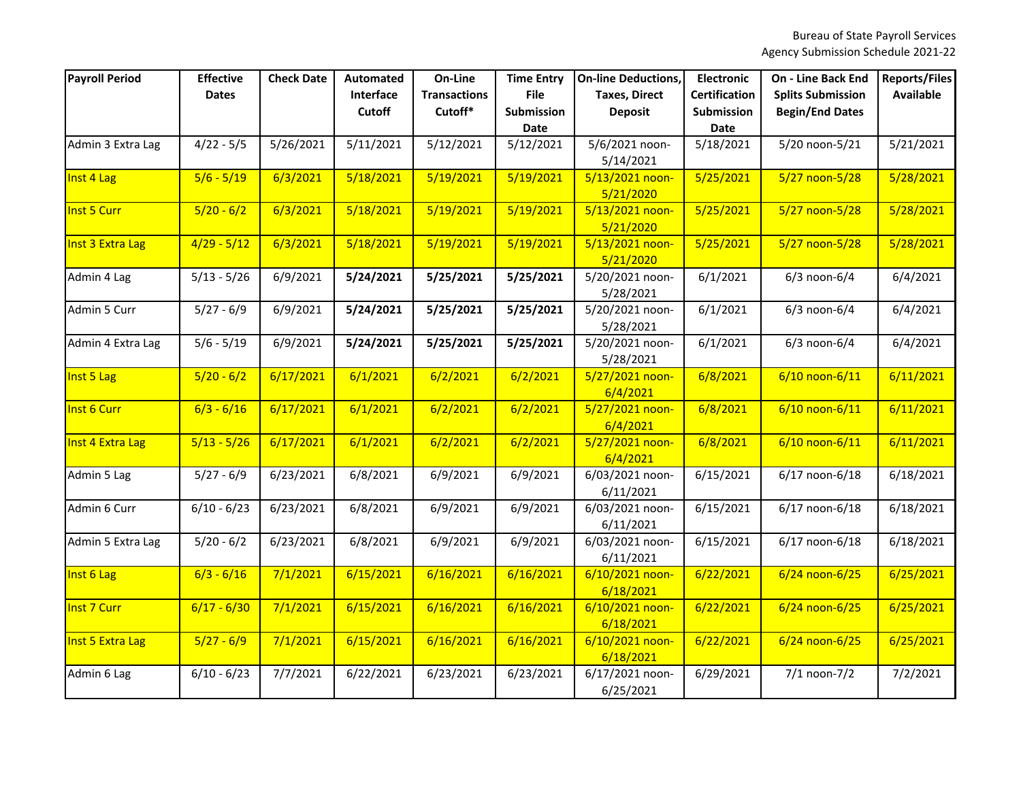| <b>Payroll Period</b> | <b>Effective</b> | <b>Check Date</b> | <b>Automated</b> | On-Line             | <b>Time Entry</b>                | <b>On-line Deductions,</b>   | <b>Electronic</b>         | <b>On - Line Back End</b> | <b>Reports/Files</b> |
|-----------------------|------------------|-------------------|------------------|---------------------|----------------------------------|------------------------------|---------------------------|---------------------------|----------------------|
|                       | <b>Dates</b>     |                   | Interface        | <b>Transactions</b> | <b>File</b>                      | <b>Taxes, Direct</b>         | <b>Certification</b>      | <b>Splits Submission</b>  | <b>Available</b>     |
|                       |                  |                   | <b>Cutoff</b>    | Cutoff*             | <b>Submission</b><br><b>Date</b> | <b>Deposit</b>               | Submission<br><b>Date</b> | <b>Begin/End Dates</b>    |                      |
| Admin 3 Extra Lag     | $4/22 - 5/5$     | 5/26/2021         | 5/11/2021        | 5/12/2021           | 5/12/2021                        | 5/6/2021 noon-               | 5/18/2021                 | 5/20 noon-5/21            | 5/21/2021            |
|                       |                  |                   |                  |                     |                                  | 5/14/2021                    |                           |                           |                      |
| Inst 4 Lag            | $5/6 - 5/19$     | 6/3/2021          | 5/18/2021        | 5/19/2021           | 5/19/2021                        | 5/13/2021 noon-              | 5/25/2021                 | $5/27$ noon- $5/28$       | 5/28/2021            |
|                       |                  |                   |                  |                     |                                  | 5/21/2020                    |                           |                           |                      |
| Inst 5 Curr           | $5/20 - 6/2$     | 6/3/2021          | 5/18/2021        | 5/19/2021           | 5/19/2021                        | 5/13/2021 noon-              | 5/25/2021                 | 5/27 noon-5/28            | 5/28/2021            |
|                       |                  |                   |                  |                     |                                  | 5/21/2020                    |                           |                           |                      |
| Inst 3 Extra Lag      | $4/29 - 5/12$    | 6/3/2021          | 5/18/2021        | 5/19/2021           | 5/19/2021                        | 5/13/2021 noon-              | 5/25/2021                 | $5/27$ noon- $5/28$       | 5/28/2021            |
|                       |                  |                   |                  |                     |                                  | 5/21/2020                    |                           |                           |                      |
| Admin 4 Lag           | $5/13 - 5/26$    | 6/9/2021          | 5/24/2021        | 5/25/2021           | 5/25/2021                        | 5/20/2021 noon-              | 6/1/2021                  | $6/3$ noon- $6/4$         | 6/4/2021             |
|                       |                  |                   |                  |                     |                                  | 5/28/2021                    |                           |                           |                      |
| Admin 5 Curr          | $5/27 - 6/9$     | 6/9/2021          | 5/24/2021        | 5/25/2021           | 5/25/2021                        | 5/20/2021 noon-              | 6/1/2021                  | $6/3$ noon- $6/4$         | 6/4/2021             |
|                       |                  |                   |                  |                     |                                  | 5/28/2021                    |                           |                           |                      |
| Admin 4 Extra Lag     | $5/6 - 5/19$     | 6/9/2021          | 5/24/2021        | 5/25/2021           | 5/25/2021                        | 5/20/2021 noon-              | 6/1/2021                  | $6/3$ noon- $6/4$         | 6/4/2021             |
|                       |                  |                   |                  |                     |                                  | 5/28/2021                    |                           |                           |                      |
| Inst 5 Lag            | $5/20 - 6/2$     | 6/17/2021         | 6/1/2021         | 6/2/2021            | 6/2/2021                         | 5/27/2021 noon-              | 6/8/2021                  | 6/10 noon-6/11            | 6/11/2021            |
|                       |                  |                   |                  |                     |                                  | 6/4/2021                     |                           |                           |                      |
| Inst 6 Curr           | $6/3 - 6/16$     | 6/17/2021         | 6/1/2021         | 6/2/2021            | 6/2/2021                         | 5/27/2021 noon-              | 6/8/2021                  | 6/10 noon-6/11            | 6/11/2021            |
|                       |                  |                   |                  |                     |                                  | 6/4/2021                     |                           |                           |                      |
| Inst 4 Extra Lag      | $5/13 - 5/26$    | 6/17/2021         | 6/1/2021         | 6/2/2021            | 6/2/2021                         | 5/27/2021 noon-              | 6/8/2021                  | 6/10 noon-6/11            | 6/11/2021            |
|                       |                  |                   |                  |                     |                                  | 6/4/2021                     |                           |                           |                      |
| Admin 5 Lag           | $5/27 - 6/9$     | 6/23/2021         | 6/8/2021         | 6/9/2021            | 6/9/2021                         | 6/03/2021 noon-              | 6/15/2021                 | 6/17 noon-6/18            | 6/18/2021            |
|                       |                  |                   |                  |                     |                                  | 6/11/2021                    |                           |                           |                      |
| Admin 6 Curr          | $6/10 - 6/23$    | 6/23/2021         | 6/8/2021         | 6/9/2021            | 6/9/2021                         | 6/03/2021 noon-              | 6/15/2021                 | 6/17 noon-6/18            | 6/18/2021            |
|                       |                  |                   | 6/8/2021         |                     |                                  | 6/11/2021<br>6/03/2021 noon- |                           |                           |                      |
| Admin 5 Extra Lag     | $5/20 - 6/2$     | 6/23/2021         |                  | 6/9/2021            | 6/9/2021                         |                              | 6/15/2021                 | 6/17 noon-6/18            | 6/18/2021            |
| Inst 6 Lag            | $6/3 - 6/16$     | 7/1/2021          | 6/15/2021        | 6/16/2021           | 6/16/2021                        | 6/11/2021<br>6/10/2021 noon- | 6/22/2021                 | $6/24$ noon-6/25          | 6/25/2021            |
|                       |                  |                   |                  |                     |                                  | 6/18/2021                    |                           |                           |                      |
| Inst 7 Curr           | $6/17 - 6/30$    | 7/1/2021          | 6/15/2021        | 6/16/2021           | 6/16/2021                        | 6/10/2021 noon-              | 6/22/2021                 | $6/24$ noon-6/25          | 6/25/2021            |
|                       |                  |                   |                  |                     |                                  | 6/18/2021                    |                           |                           |                      |
| Inst 5 Extra Lag      | $5/27 - 6/9$     | 7/1/2021          | 6/15/2021        | 6/16/2021           | 6/16/2021                        | 6/10/2021 noon-              | 6/22/2021                 | 6/24 noon-6/25            | 6/25/2021            |
|                       |                  |                   |                  |                     |                                  | 6/18/2021                    |                           |                           |                      |
| Admin 6 Lag           | $6/10 - 6/23$    | 7/7/2021          | 6/22/2021        | 6/23/2021           | 6/23/2021                        | 6/17/2021 noon-              | 6/29/2021                 | $7/1$ noon- $7/2$         | 7/2/2021             |
|                       |                  |                   |                  |                     |                                  | 6/25/2021                    |                           |                           |                      |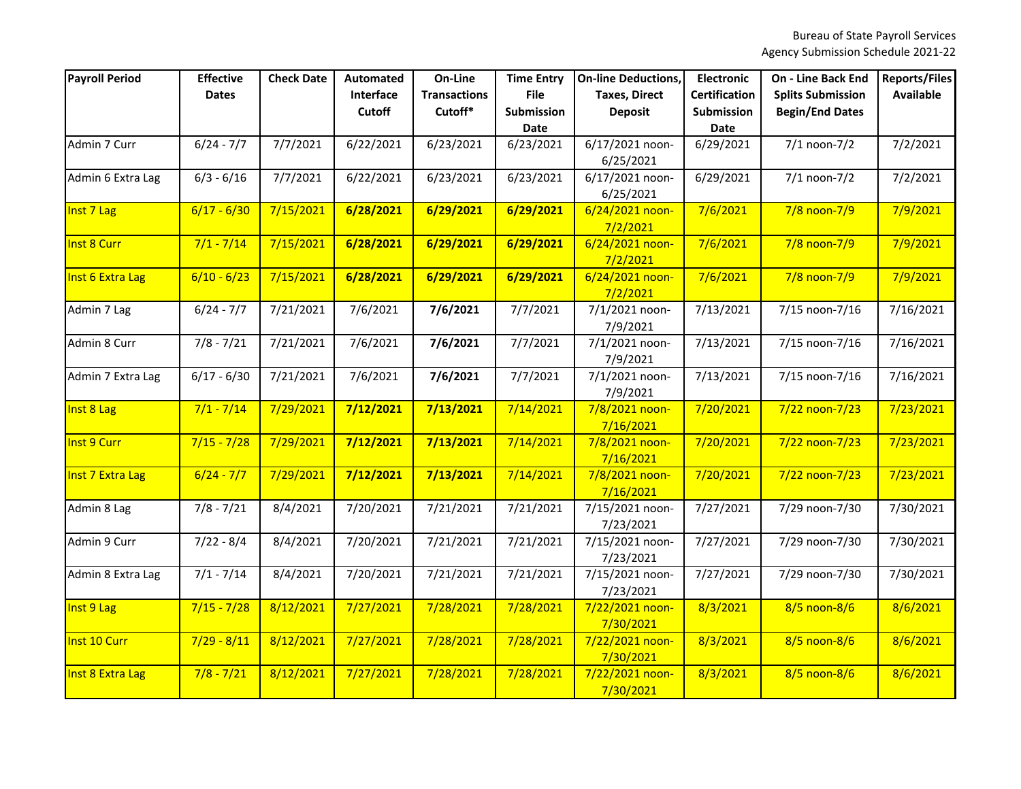| <b>Payroll Period</b> | <b>Effective</b><br><b>Dates</b> | <b>Check Date</b> | Automated<br>Interface | On-Line<br><b>Transactions</b> | <b>Time Entry</b><br><b>File</b> | <b>On-line Deductions,</b><br><b>Taxes, Direct</b> | <b>Electronic</b><br><b>Certification</b> | <b>On - Line Back End</b><br><b>Splits Submission</b> | <b>Reports/Files</b><br><b>Available</b> |
|-----------------------|----------------------------------|-------------------|------------------------|--------------------------------|----------------------------------|----------------------------------------------------|-------------------------------------------|-------------------------------------------------------|------------------------------------------|
|                       |                                  |                   | Cutoff                 | Cutoff*                        | Submission<br>Date               | <b>Deposit</b>                                     | Submission<br><b>Date</b>                 | <b>Begin/End Dates</b>                                |                                          |
| Admin 7 Curr          | $6/24 - 7/7$                     | 7/7/2021          | 6/22/2021              | 6/23/2021                      | 6/23/2021                        | 6/17/2021 noon-<br>6/25/2021                       | 6/29/2021                                 | $7/1$ noon- $7/2$                                     | 7/2/2021                                 |
| Admin 6 Extra Lag     | $6/3 - 6/16$                     | 7/7/2021          | 6/22/2021              | 6/23/2021                      | 6/23/2021                        | 6/17/2021 noon-<br>6/25/2021                       | 6/29/2021                                 | $7/1$ noon- $7/2$                                     | 7/2/2021                                 |
| Inst 7 Lag            | $6/17 - 6/30$                    | 7/15/2021         | 6/28/2021              | 6/29/2021                      | 6/29/2021                        | 6/24/2021 noon-<br>7/2/2021                        | 7/6/2021                                  | $7/8$ noon- $7/9$                                     | 7/9/2021                                 |
| Inst 8 Curr           | $7/1 - 7/14$                     | 7/15/2021         | 6/28/2021              | 6/29/2021                      | 6/29/2021                        | 6/24/2021 noon-<br>7/2/2021                        | 7/6/2021                                  | $7/8$ noon- $7/9$                                     | 7/9/2021                                 |
| Inst 6 Extra Lag      | $6/10 - 6/23$                    | 7/15/2021         | 6/28/2021              | 6/29/2021                      | 6/29/2021                        | 6/24/2021 noon-<br>7/2/2021                        | 7/6/2021                                  | $7/8$ noon- $7/9$                                     | 7/9/2021                                 |
| Admin 7 Lag           | $6/24 - 7/7$                     | 7/21/2021         | 7/6/2021               | 7/6/2021                       | 7/7/2021                         | 7/1/2021 noon-<br>7/9/2021                         | 7/13/2021                                 | 7/15 noon-7/16                                        | 7/16/2021                                |
| Admin 8 Curr          | $7/8 - 7/21$                     | 7/21/2021         | 7/6/2021               | 7/6/2021                       | 7/7/2021                         | 7/1/2021 noon-<br>7/9/2021                         | 7/13/2021                                 | 7/15 noon-7/16                                        | 7/16/2021                                |
| Admin 7 Extra Lag     | $6/17 - 6/30$                    | 7/21/2021         | 7/6/2021               | 7/6/2021                       | 7/7/2021                         | 7/1/2021 noon-<br>7/9/2021                         | 7/13/2021                                 | 7/15 noon-7/16                                        | 7/16/2021                                |
| Inst 8 Lag            | $7/1 - 7/14$                     | 7/29/2021         | 7/12/2021              | 7/13/2021                      | 7/14/2021                        | 7/8/2021 noon-<br>7/16/2021                        | 7/20/2021                                 | $7/22$ noon-7/23                                      | 7/23/2021                                |
| Inst 9 Curr           | $7/15 - 7/28$                    | 7/29/2021         | 7/12/2021              | 7/13/2021                      | 7/14/2021                        | 7/8/2021 noon-<br>7/16/2021                        | 7/20/2021                                 | $7/22$ noon-7/23                                      | 7/23/2021                                |
| Inst 7 Extra Lag      | $6/24 - 7/7$                     | 7/29/2021         | 7/12/2021              | 7/13/2021                      | 7/14/2021                        | 7/8/2021 noon-<br>7/16/2021                        | 7/20/2021                                 | $7/22$ noon-7/23                                      | 7/23/2021                                |
| Admin 8 Lag           | $7/8 - 7/21$                     | 8/4/2021          | 7/20/2021              | 7/21/2021                      | 7/21/2021                        | 7/15/2021 noon-<br>7/23/2021                       | 7/27/2021                                 | 7/29 noon-7/30                                        | 7/30/2021                                |
| Admin 9 Curr          | $7/22 - 8/4$                     | 8/4/2021          | 7/20/2021              | 7/21/2021                      | 7/21/2021                        | 7/15/2021 noon-<br>7/23/2021                       | 7/27/2021                                 | 7/29 noon-7/30                                        | 7/30/2021                                |
| Admin 8 Extra Lag     | $7/1 - 7/14$                     | 8/4/2021          | 7/20/2021              | 7/21/2021                      | 7/21/2021                        | 7/15/2021 noon-<br>7/23/2021                       | 7/27/2021                                 | 7/29 noon-7/30                                        | 7/30/2021                                |
| Inst 9 Lag            | $7/15 - 7/28$                    | 8/12/2021         | 7/27/2021              | 7/28/2021                      | 7/28/2021                        | 7/22/2021 noon-<br>7/30/2021                       | 8/3/2021                                  | 8/5 noon-8/6                                          | 8/6/2021                                 |
| Inst 10 Curr          | $7/29 - 8/11$                    | 8/12/2021         | 7/27/2021              | 7/28/2021                      | 7/28/2021                        | 7/22/2021 noon-<br>7/30/2021                       | 8/3/2021                                  | 8/5 noon-8/6                                          | 8/6/2021                                 |
| Inst 8 Extra Lag      | $7/8 - 7/21$                     | 8/12/2021         | 7/27/2021              | 7/28/2021                      | 7/28/2021                        | 7/22/2021 noon-<br>7/30/2021                       | 8/3/2021                                  | 8/5 noon-8/6                                          | 8/6/2021                                 |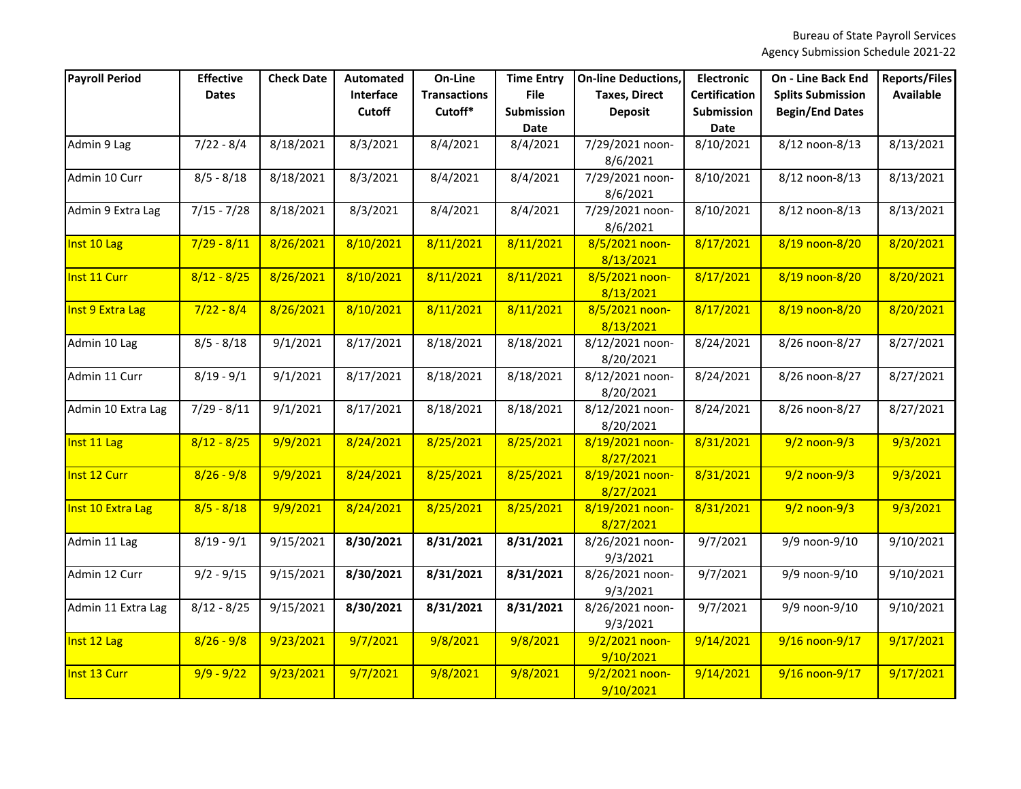| <b>Payroll Period</b> | <b>Effective</b> | <b>Check Date</b> | <b>Automated</b> | On-Line             | <b>Time Entry</b> | <b>On-line Deductions,</b>   | <b>Electronic</b>    | <b>On - Line Back End</b> | <b>Reports/Files</b> |
|-----------------------|------------------|-------------------|------------------|---------------------|-------------------|------------------------------|----------------------|---------------------------|----------------------|
|                       | <b>Dates</b>     |                   | Interface        | <b>Transactions</b> | <b>File</b>       | <b>Taxes, Direct</b>         | <b>Certification</b> | <b>Splits Submission</b>  | <b>Available</b>     |
|                       |                  |                   | <b>Cutoff</b>    | Cutoff*             | <b>Submission</b> | <b>Deposit</b>               | Submission           | <b>Begin/End Dates</b>    |                      |
|                       |                  |                   |                  |                     | <b>Date</b>       |                              | <b>Date</b>          |                           |                      |
| Admin 9 Lag           | $7/22 - 8/4$     | 8/18/2021         | 8/3/2021         | 8/4/2021            | 8/4/2021          | 7/29/2021 noon-              | 8/10/2021            | 8/12 noon-8/13            | 8/13/2021            |
|                       |                  |                   |                  |                     |                   | 8/6/2021                     |                      |                           |                      |
| Admin 10 Curr         | $8/5 - 8/18$     | 8/18/2021         | 8/3/2021         | 8/4/2021            | 8/4/2021          | 7/29/2021 noon-              | 8/10/2021            | 8/12 noon-8/13            | 8/13/2021            |
|                       |                  |                   |                  |                     |                   | 8/6/2021                     |                      |                           |                      |
| Admin 9 Extra Lag     | $7/15 - 7/28$    | 8/18/2021         | 8/3/2021         | 8/4/2021            | 8/4/2021          | 7/29/2021 noon-              | 8/10/2021            | 8/12 noon-8/13            | 8/13/2021            |
|                       |                  |                   |                  |                     |                   | 8/6/2021                     |                      |                           |                      |
| Inst 10 Lag           | $7/29 - 8/11$    | 8/26/2021         | 8/10/2021        | 8/11/2021           | 8/11/2021         | 8/5/2021 noon-               | 8/17/2021            | 8/19 noon-8/20            | 8/20/2021            |
|                       |                  |                   |                  |                     |                   | 8/13/2021                    |                      |                           |                      |
| Inst 11 Curr          | $8/12 - 8/25$    | 8/26/2021         | 8/10/2021        | 8/11/2021           | 8/11/2021         | 8/5/2021 noon-               | 8/17/2021            | 8/19 noon-8/20            | 8/20/2021            |
|                       |                  |                   |                  |                     |                   | 8/13/2021                    |                      |                           |                      |
| Inst 9 Extra Lag      | $7/22 - 8/4$     | 8/26/2021         | 8/10/2021        | 8/11/2021           | 8/11/2021         | 8/5/2021 noon-               | 8/17/2021            | 8/19 noon-8/20            | 8/20/2021            |
|                       |                  |                   |                  |                     |                   | 8/13/2021                    |                      |                           |                      |
| Admin 10 Lag          | $8/5 - 8/18$     | 9/1/2021          | 8/17/2021        | 8/18/2021           | 8/18/2021         | 8/12/2021 noon-              | 8/24/2021            | 8/26 noon-8/27            | 8/27/2021            |
|                       |                  |                   |                  |                     |                   | 8/20/2021                    |                      |                           |                      |
| Admin 11 Curr         | $8/19 - 9/1$     | 9/1/2021          | 8/17/2021        | 8/18/2021           | 8/18/2021         | 8/12/2021 noon-              | 8/24/2021            | 8/26 noon-8/27            | 8/27/2021            |
|                       |                  |                   |                  |                     |                   | 8/20/2021                    |                      |                           |                      |
| Admin 10 Extra Lag    | $7/29 - 8/11$    | 9/1/2021          | 8/17/2021        | 8/18/2021           | 8/18/2021         | 8/12/2021 noon-              | 8/24/2021            | 8/26 noon-8/27            | 8/27/2021            |
|                       |                  |                   |                  |                     |                   | 8/20/2021                    |                      |                           |                      |
| Inst 11 Lag           | $8/12 - 8/25$    | 9/9/2021          | 8/24/2021        | 8/25/2021           | 8/25/2021         | 8/19/2021 noon-<br>8/27/2021 | 8/31/2021            | $9/2$ noon-9/3            | 9/3/2021             |
| Inst 12 Curr          | $8/26 - 9/8$     | 9/9/2021          | 8/24/2021        | 8/25/2021           | 8/25/2021         | 8/19/2021 noon-              | 8/31/2021            | $9/2$ noon- $9/3$         | 9/3/2021             |
|                       |                  |                   |                  |                     |                   | 8/27/2021                    |                      |                           |                      |
| Inst 10 Extra Lag     | $8/5 - 8/18$     | 9/9/2021          | 8/24/2021        | 8/25/2021           | 8/25/2021         | 8/19/2021 noon-              | 8/31/2021            | $9/2$ noon-9/3            | 9/3/2021             |
|                       |                  |                   |                  |                     |                   | 8/27/2021                    |                      |                           |                      |
| Admin 11 Lag          | $8/19 - 9/1$     | 9/15/2021         | 8/30/2021        | 8/31/2021           | 8/31/2021         | 8/26/2021 noon-              | 9/7/2021             | 9/9 noon-9/10             | 9/10/2021            |
|                       |                  |                   |                  |                     |                   | 9/3/2021                     |                      |                           |                      |
| Admin 12 Curr         | $9/2 - 9/15$     | 9/15/2021         | 8/30/2021        | 8/31/2021           | 8/31/2021         | 8/26/2021 noon-              | 9/7/2021             | 9/9 noon-9/10             | 9/10/2021            |
|                       |                  |                   |                  |                     |                   | 9/3/2021                     |                      |                           |                      |
| Admin 11 Extra Lag    | $8/12 - 8/25$    | 9/15/2021         | 8/30/2021        | 8/31/2021           | 8/31/2021         | 8/26/2021 noon-              | 9/7/2021             | 9/9 noon-9/10             | 9/10/2021            |
|                       |                  |                   |                  |                     |                   | 9/3/2021                     |                      |                           |                      |
| Inst 12 Lag           | $8/26 - 9/8$     | 9/23/2021         | 9/7/2021         | 9/8/2021            | 9/8/2021          | 9/2/2021 noon-               | 9/14/2021            | 9/16 noon-9/17            | 9/17/2021            |
|                       |                  |                   |                  |                     |                   | 9/10/2021                    |                      |                           |                      |
| Inst 13 Curr          | $9/9 - 9/22$     | 9/23/2021         | 9/7/2021         | 9/8/2021            | 9/8/2021          | 9/2/2021 noon-               | 9/14/2021            | 9/16 noon-9/17            | 9/17/2021            |
|                       |                  |                   |                  |                     |                   | 9/10/2021                    |                      |                           |                      |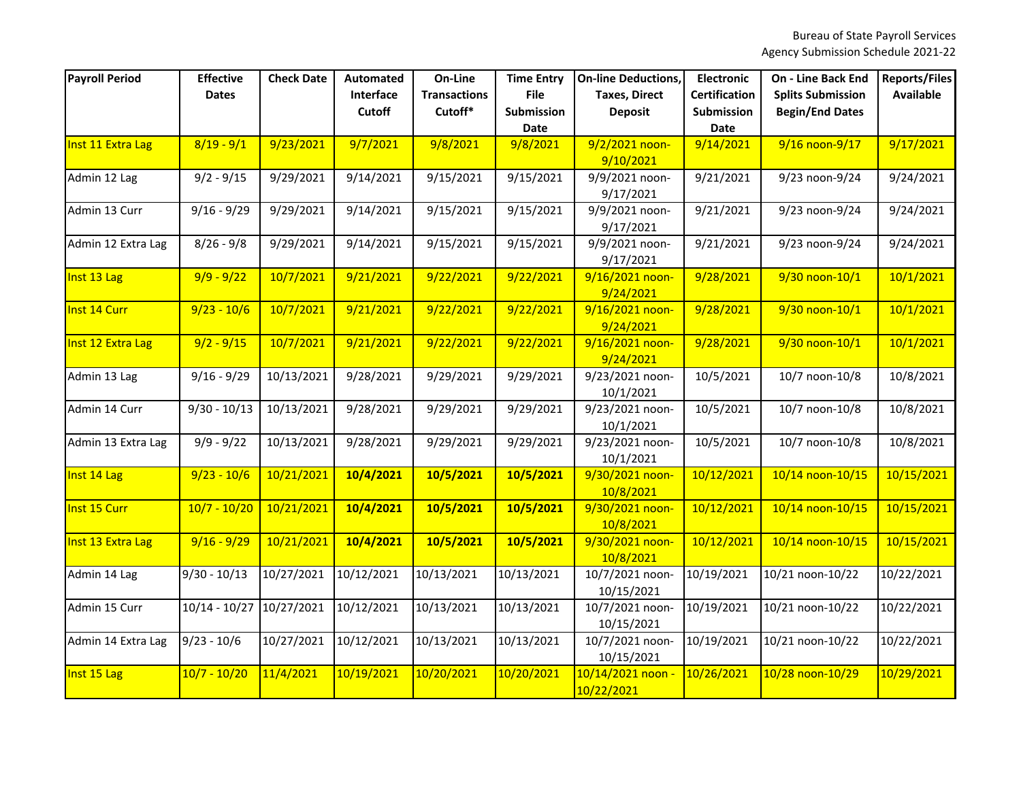| <b>Payroll Period</b> | <b>Effective</b><br><b>Dates</b> | <b>Check Date</b> | <b>Automated</b><br>Interface<br><b>Cutoff</b> | On-Line<br><b>Transactions</b><br>Cutoff* | <b>Time Entry</b><br><b>File</b><br><b>Submission</b> | <b>On-line Deductions,</b><br><b>Taxes, Direct</b><br><b>Deposit</b> | <b>Electronic</b><br><b>Certification</b><br>Submission | <b>On - Line Back End</b><br><b>Splits Submission</b><br><b>Begin/End Dates</b> | <b>Reports/Files</b><br><b>Available</b> |
|-----------------------|----------------------------------|-------------------|------------------------------------------------|-------------------------------------------|-------------------------------------------------------|----------------------------------------------------------------------|---------------------------------------------------------|---------------------------------------------------------------------------------|------------------------------------------|
|                       |                                  |                   |                                                |                                           | <b>Date</b>                                           |                                                                      | <b>Date</b>                                             |                                                                                 |                                          |
| Inst 11 Extra Lag     | $8/19 - 9/1$                     | 9/23/2021         | 9/7/2021                                       | 9/8/2021                                  | 9/8/2021                                              | 9/2/2021 noon-<br>9/10/2021                                          | 9/14/2021                                               | 9/16 noon-9/17                                                                  | 9/17/2021                                |
| Admin 12 Lag          | $9/2 - 9/15$                     | 9/29/2021         | 9/14/2021                                      | 9/15/2021                                 | 9/15/2021                                             | 9/9/2021 noon-<br>9/17/2021                                          | 9/21/2021                                               | 9/23 noon-9/24                                                                  | 9/24/2021                                |
| Admin 13 Curr         | $9/16 - 9/29$                    | 9/29/2021         | 9/14/2021                                      | 9/15/2021                                 | 9/15/2021                                             | 9/9/2021 noon-<br>9/17/2021                                          | 9/21/2021                                               | 9/23 noon-9/24                                                                  | 9/24/2021                                |
| Admin 12 Extra Lag    | $8/26 - 9/8$                     | 9/29/2021         | 9/14/2021                                      | 9/15/2021                                 | 9/15/2021                                             | 9/9/2021 noon-<br>9/17/2021                                          | 9/21/2021                                               | 9/23 noon-9/24                                                                  | 9/24/2021                                |
| Inst 13 Lag           | $9/9 - 9/22$                     | 10/7/2021         | 9/21/2021                                      | 9/22/2021                                 | 9/22/2021                                             | 9/16/2021 noon-<br>9/24/2021                                         | 9/28/2021                                               | 9/30 noon-10/1                                                                  | 10/1/2021                                |
| Inst 14 Curr          | $9/23 - 10/6$                    | 10/7/2021         | 9/21/2021                                      | 9/22/2021                                 | 9/22/2021                                             | 9/16/2021 noon-<br>9/24/2021                                         | 9/28/2021                                               | 9/30 noon-10/1                                                                  | 10/1/2021                                |
| Inst 12 Extra Lag     | $9/2 - 9/15$                     | 10/7/2021         | 9/21/2021                                      | 9/22/2021                                 | 9/22/2021                                             | 9/16/2021 noon-<br>9/24/2021                                         | 9/28/2021                                               | 9/30 noon-10/1                                                                  | 10/1/2021                                |
| Admin 13 Lag          | $9/16 - 9/29$                    | 10/13/2021        | 9/28/2021                                      | 9/29/2021                                 | 9/29/2021                                             | 9/23/2021 noon-<br>10/1/2021                                         | 10/5/2021                                               | 10/7 noon-10/8                                                                  | 10/8/2021                                |
| Admin 14 Curr         | $9/30 - 10/13$                   | 10/13/2021        | 9/28/2021                                      | 9/29/2021                                 | 9/29/2021                                             | 9/23/2021 noon-<br>10/1/2021                                         | 10/5/2021                                               | 10/7 noon-10/8                                                                  | 10/8/2021                                |
| Admin 13 Extra Lag    | $9/9 - 9/22$                     | 10/13/2021        | 9/28/2021                                      | 9/29/2021                                 | 9/29/2021                                             | 9/23/2021 noon-<br>10/1/2021                                         | 10/5/2021                                               | 10/7 noon-10/8                                                                  | 10/8/2021                                |
| Inst 14 Lag           | $9/23 - 10/6$                    | 10/21/2021        | 10/4/2021                                      | 10/5/2021                                 | 10/5/2021                                             | 9/30/2021 noon-<br>10/8/2021                                         | 10/12/2021                                              | 10/14 noon-10/15                                                                | 10/15/2021                               |
| Inst 15 Curr          | $10/7 - 10/20$                   | 10/21/2021        | 10/4/2021                                      | 10/5/2021                                 | 10/5/2021                                             | 9/30/2021 noon-<br>10/8/2021                                         | 10/12/2021                                              | 10/14 noon-10/15                                                                | 10/15/2021                               |
| Inst 13 Extra Lag     | $9/16 - 9/29$                    | 10/21/2021        | 10/4/2021                                      | 10/5/2021                                 | 10/5/2021                                             | 9/30/2021 noon-<br>10/8/2021                                         | 10/12/2021                                              | 10/14 noon-10/15                                                                | 10/15/2021                               |
| Admin 14 Lag          | $9/30 - 10/13$                   | 10/27/2021        | 10/12/2021                                     | 10/13/2021                                | 10/13/2021                                            | 10/7/2021 noon-<br>10/15/2021                                        | 10/19/2021                                              | 10/21 noon-10/22                                                                | 10/22/2021                               |
| Admin 15 Curr         | $10/14 - 10/27$                  | 10/27/2021        | 10/12/2021                                     | 10/13/2021                                | 10/13/2021                                            | 10/7/2021 noon-<br>10/15/2021                                        | 10/19/2021                                              | 10/21 noon-10/22                                                                | 10/22/2021                               |
| Admin 14 Extra Lag    | $9/23 - 10/6$                    | 10/27/2021        | 10/12/2021                                     | 10/13/2021                                | 10/13/2021                                            | 10/7/2021 noon-<br>10/15/2021                                        | 10/19/2021                                              | 10/21 noon-10/22                                                                | 10/22/2021                               |
| Inst 15 Lag           | $10/7 - 10/20$                   | 11/4/2021         | 10/19/2021                                     | 10/20/2021                                | 10/20/2021                                            | 10/14/2021 noon -<br>10/22/2021                                      | 10/26/2021                                              | 10/28 noon-10/29                                                                | 10/29/2021                               |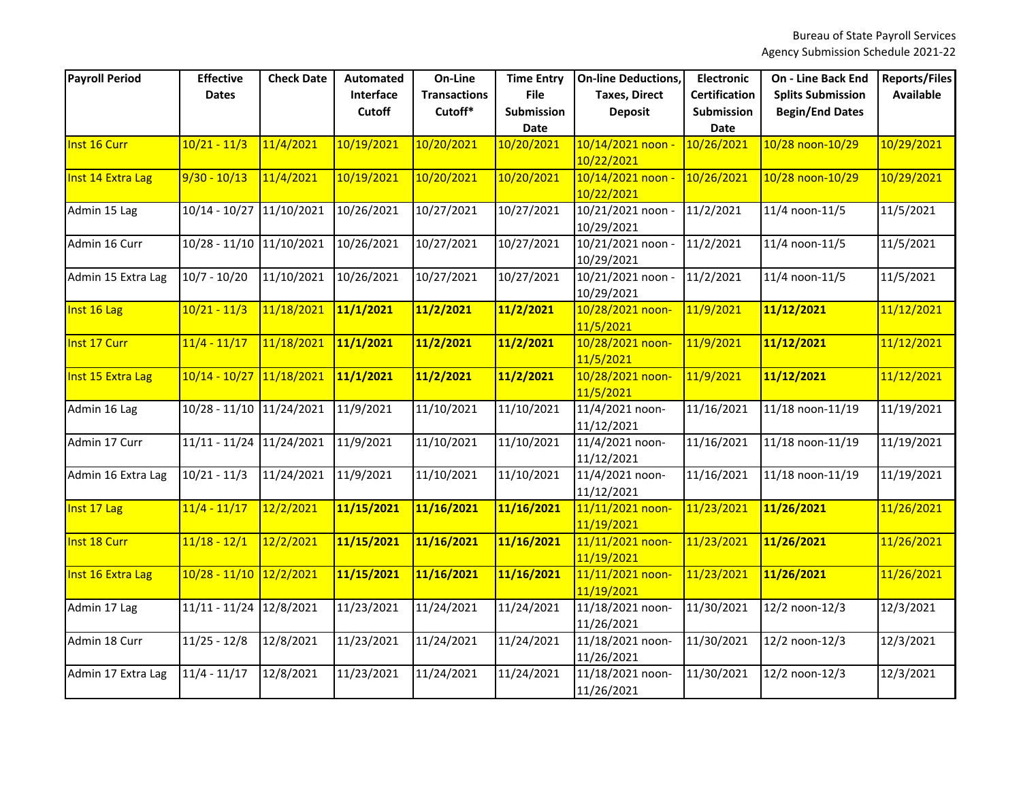| <b>Payroll Period</b> | <b>Effective</b><br><b>Dates</b> | <b>Check Date</b> | <b>Automated</b><br>Interface<br>Cutoff | On-Line<br><b>Transactions</b><br>Cutoff* | <b>Time Entry</b><br><b>File</b><br>Submission<br><b>Date</b> | <b>On-line Deductions,</b><br><b>Taxes, Direct</b><br><b>Deposit</b> | <b>Electronic</b><br><b>Certification</b><br>Submission<br><b>Date</b> | <b>On - Line Back End</b><br><b>Splits Submission</b><br><b>Begin/End Dates</b> | <b>Reports/Files</b><br><b>Available</b> |
|-----------------------|----------------------------------|-------------------|-----------------------------------------|-------------------------------------------|---------------------------------------------------------------|----------------------------------------------------------------------|------------------------------------------------------------------------|---------------------------------------------------------------------------------|------------------------------------------|
| Inst 16 Curr          | $10/21 - 11/3$                   | 11/4/2021         | 10/19/2021                              | 10/20/2021                                | 10/20/2021                                                    | 10/14/2021 noon                                                      | 10/26/2021                                                             | 10/28 noon-10/29                                                                | 10/29/2021                               |
| Inst 14 Extra Lag     | $9/30 - 10/13$                   | 11/4/2021         | 10/19/2021                              | 10/20/2021                                | 10/20/2021                                                    | 10/22/2021<br>10/14/2021 noon -<br>10/22/2021                        | 10/26/2021                                                             | 10/28 noon-10/29                                                                | 10/29/2021                               |
| Admin 15 Lag          | $10/14 - 10/27$                  | 11/10/2021        | 10/26/2021                              | 10/27/2021                                | 10/27/2021                                                    | 10/21/2021 noon -<br>10/29/2021                                      | 11/2/2021                                                              | 11/4 noon-11/5                                                                  | 11/5/2021                                |
| Admin 16 Curr         | $10/28 - 11/10$                  | 11/10/2021        | 10/26/2021                              | 10/27/2021                                | 10/27/2021                                                    | 10/21/2021 noon -<br>10/29/2021                                      | 11/2/2021                                                              | 11/4 noon-11/5                                                                  | 11/5/2021                                |
| Admin 15 Extra Lag    | $10/7 - 10/20$                   | 11/10/2021        | 10/26/2021                              | 10/27/2021                                | 10/27/2021                                                    | 10/21/2021 noon -<br>10/29/2021                                      | 11/2/2021                                                              | 11/4 noon-11/5                                                                  | 11/5/2021                                |
| Inst 16 Lag           | $10/21 - 11/3$                   | 11/18/2021        | 11/1/2021                               | 11/2/2021                                 | 11/2/2021                                                     | 10/28/2021 noon-<br>11/5/2021                                        | 11/9/2021                                                              | 11/12/2021                                                                      | 11/12/2021                               |
| Inst 17 Curr          | $11/4 - 11/17$                   | 11/18/2021        | 11/1/2021                               | 11/2/2021                                 | 11/2/2021                                                     | 10/28/2021 noon-<br>11/5/2021                                        | 11/9/2021                                                              | 11/12/2021                                                                      | 11/12/2021                               |
| Inst 15 Extra Lag     | 10/14 - 10/27                    | 11/18/2021        | 11/1/2021                               | 11/2/2021                                 | 11/2/2021                                                     | 10/28/2021 noon-<br>11/5/2021                                        | 11/9/2021                                                              | 11/12/2021                                                                      | 11/12/2021                               |
| Admin 16 Lag          | $10/28 - 11/10$                  | 11/24/2021        | 11/9/2021                               | 11/10/2021                                | 11/10/2021                                                    | 11/4/2021 noon-<br>11/12/2021                                        | 11/16/2021                                                             | 11/18 noon-11/19                                                                | 11/19/2021                               |
| Admin 17 Curr         | $11/11 - 11/24$                  | 11/24/2021        | 11/9/2021                               | 11/10/2021                                | 11/10/2021                                                    | 11/4/2021 noon-<br>11/12/2021                                        | 11/16/2021                                                             | 11/18 noon-11/19                                                                | 11/19/2021                               |
| Admin 16 Extra Lag    | $10/21 - 11/3$                   | 11/24/2021        | 11/9/2021                               | 11/10/2021                                | 11/10/2021                                                    | 11/4/2021 noon-<br>11/12/2021                                        | 11/16/2021                                                             | 11/18 noon-11/19                                                                | 11/19/2021                               |
| Inst 17 Lag           | $11/4 - 11/17$                   | 12/2/2021         | 11/15/2021                              | 11/16/2021                                | 11/16/2021                                                    | 11/11/2021 noon-<br>11/19/2021                                       | 11/23/2021                                                             | 11/26/2021                                                                      | 11/26/2021                               |
| Inst 18 Curr          | $11/18 - 12/1$                   | 12/2/2021         | 11/15/2021                              | 11/16/2021                                | 11/16/2021                                                    | 11/11/2021 noon-<br>11/19/2021                                       | 11/23/2021                                                             | 11/26/2021                                                                      | 11/26/2021                               |
| Inst 16 Extra Lag     | $10/28 - 11/10$ 12/2/2021        |                   | 11/15/2021                              | 11/16/2021                                | 11/16/2021                                                    | 11/11/2021 noon-<br>11/19/2021                                       | 11/23/2021                                                             | 11/26/2021                                                                      | 11/26/2021                               |
| Admin 17 Lag          | $11/11 - 11/24$                  | 12/8/2021         | 11/23/2021                              | 11/24/2021                                | 11/24/2021                                                    | 11/18/2021 noon-<br>11/26/2021                                       | 11/30/2021                                                             | 12/2 noon-12/3                                                                  | 12/3/2021                                |
| Admin 18 Curr         | $11/25 - 12/8$                   | 12/8/2021         | 11/23/2021                              | 11/24/2021                                | 11/24/2021                                                    | 11/18/2021 noon-<br>11/26/2021                                       | 11/30/2021                                                             | 12/2 noon-12/3                                                                  | 12/3/2021                                |
| Admin 17 Extra Lag    | $11/4 - 11/17$                   | 12/8/2021         | 11/23/2021                              | 11/24/2021                                | 11/24/2021                                                    | 11/18/2021 noon-<br>11/26/2021                                       | 11/30/2021                                                             | 12/2 noon-12/3                                                                  | 12/3/2021                                |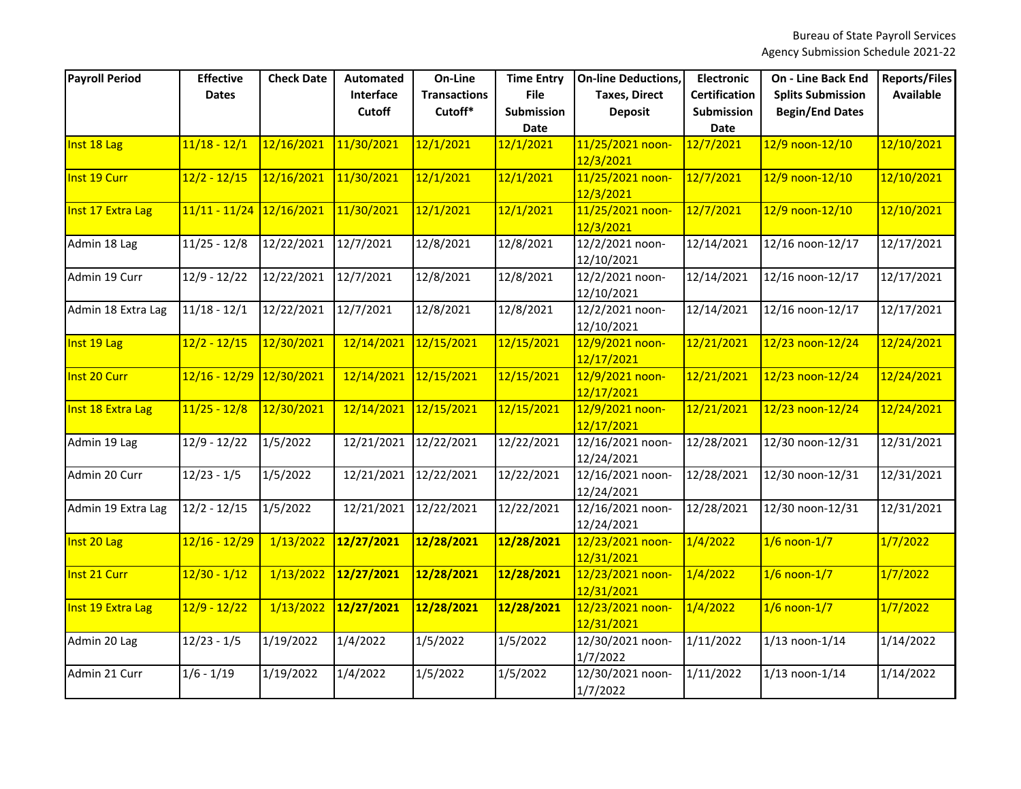| <b>Payroll Period</b> | <b>Effective</b><br><b>Dates</b> | <b>Check Date</b> | <b>Automated</b><br>Interface<br><b>Cutoff</b> | On-Line<br><b>Transactions</b><br>Cutoff* | <b>Time Entry</b><br><b>File</b><br>Submission<br><b>Date</b> | <b>On-line Deductions,</b><br><b>Taxes, Direct</b><br><b>Deposit</b> | <b>Electronic</b><br><b>Certification</b><br>Submission<br><b>Date</b> | <b>On - Line Back End</b><br><b>Splits Submission</b><br><b>Begin/End Dates</b> | <b>Reports/Files</b><br><b>Available</b> |
|-----------------------|----------------------------------|-------------------|------------------------------------------------|-------------------------------------------|---------------------------------------------------------------|----------------------------------------------------------------------|------------------------------------------------------------------------|---------------------------------------------------------------------------------|------------------------------------------|
| Inst 18 Lag           | $11/18 - 12/1$                   | 12/16/2021        | 11/30/2021                                     | 12/1/2021                                 | 12/1/2021                                                     | 11/25/2021 noon-<br>12/3/2021                                        | 12/7/2021                                                              | 12/9 noon-12/10                                                                 | 12/10/2021                               |
| Inst 19 Curr          | $12/2 - 12/15$                   | 12/16/2021        | 11/30/2021                                     | 12/1/2021                                 | 12/1/2021                                                     | 11/25/2021 noon-<br>12/3/2021                                        | 12/7/2021                                                              | 12/9 noon-12/10                                                                 | 12/10/2021                               |
| Inst 17 Extra Lag     | $11/11 - 11/24$                  | 12/16/2021        | 11/30/2021                                     | 12/1/2021                                 | 12/1/2021                                                     | 11/25/2021 noon-<br>12/3/2021                                        | 12/7/2021                                                              | 12/9 noon-12/10                                                                 | 12/10/2021                               |
| Admin 18 Lag          | $11/25 - 12/8$                   | 12/22/2021        | 12/7/2021                                      | 12/8/2021                                 | 12/8/2021                                                     | 12/2/2021 noon-<br>12/10/2021                                        | 12/14/2021                                                             | 12/16 noon-12/17                                                                | 12/17/2021                               |
| Admin 19 Curr         | $12/9 - 12/22$                   | 12/22/2021        | 12/7/2021                                      | 12/8/2021                                 | 12/8/2021                                                     | 12/2/2021 noon-<br>12/10/2021                                        | 12/14/2021                                                             | 12/16 noon-12/17                                                                | 12/17/2021                               |
| Admin 18 Extra Lag    | $11/18 - 12/1$                   | 12/22/2021        | 12/7/2021                                      | 12/8/2021                                 | 12/8/2021                                                     | 12/2/2021 noon-<br>12/10/2021                                        | 12/14/2021                                                             | 12/16 noon-12/17                                                                | 12/17/2021                               |
| Inst 19 Lag           | $12/2 - 12/15$                   | 12/30/2021        | 12/14/2021                                     | 12/15/2021                                | 12/15/2021                                                    | 12/9/2021 noon-<br>12/17/2021                                        | 12/21/2021                                                             | 12/23 noon-12/24                                                                | 12/24/2021                               |
| Inst 20 Curr          | 12/16 - 12/29                    | 12/30/2021        | 12/14/2021                                     | 12/15/2021                                | 12/15/2021                                                    | 12/9/2021 noon-<br>12/17/2021                                        | 12/21/2021                                                             | 12/23 noon-12/24                                                                | 12/24/2021                               |
| Inst 18 Extra Lag     | $11/25 - 12/8$                   | 12/30/2021        | 12/14/2021                                     | 12/15/2021                                | 12/15/2021                                                    | 12/9/2021 noon-<br>12/17/2021                                        | 12/21/2021                                                             | 12/23 noon-12/24                                                                | 12/24/2021                               |
| Admin 19 Lag          | $12/9 - 12/22$                   | 1/5/2022          | 12/21/2021                                     | 12/22/2021                                | 12/22/2021                                                    | 12/16/2021 noon-<br>12/24/2021                                       | 12/28/2021                                                             | 12/30 noon-12/31                                                                | 12/31/2021                               |
| Admin 20 Curr         | $12/23 - 1/5$                    | 1/5/2022          | 12/21/2021                                     | 12/22/2021                                | 12/22/2021                                                    | 12/16/2021 noon-<br>12/24/2021                                       | 12/28/2021                                                             | 12/30 noon-12/31                                                                | 12/31/2021                               |
| Admin 19 Extra Lag    | $12/2 - 12/15$                   | 1/5/2022          | 12/21/2021                                     | 12/22/2021                                | 12/22/2021                                                    | 12/16/2021 noon-<br>12/24/2021                                       | 12/28/2021                                                             | 12/30 noon-12/31                                                                | 12/31/2021                               |
| Inst 20 Lag           | 12/16 - 12/29                    | 1/13/2022         | 12/27/2021                                     | 12/28/2021                                | 12/28/2021                                                    | 12/23/2021 noon-<br>12/31/2021                                       | 1/4/2022                                                               | $1/6$ noon- $1/7$                                                               | 1/7/2022                                 |
| Inst 21 Curr          | $12/30 - 1/12$                   | 1/13/2022         | 12/27/2021                                     | 12/28/2021                                | 12/28/2021                                                    | 12/23/2021 noon-<br>12/31/2021                                       | 1/4/2022                                                               | $1/6$ noon- $1/7$                                                               | 1/7/2022                                 |
| Inst 19 Extra Lag     | $12/9 - 12/22$                   | 1/13/2022         | 12/27/2021                                     | 12/28/2021                                | 12/28/2021                                                    | 12/23/2021 noon-<br>12/31/2021                                       | 1/4/2022                                                               | $1/6$ noon- $1/7$                                                               | 1/7/2022                                 |
| Admin 20 Lag          | $12/23 - 1/5$                    | 1/19/2022         | 1/4/2022                                       | 1/5/2022                                  | 1/5/2022                                                      | 12/30/2021 noon-<br>1/7/2022                                         | 1/11/2022                                                              | $1/13$ noon- $1/14$                                                             | 1/14/2022                                |
| Admin 21 Curr         | $1/6 - 1/19$                     | 1/19/2022         | 1/4/2022                                       | 1/5/2022                                  | 1/5/2022                                                      | 12/30/2021 noon-<br>1/7/2022                                         | 1/11/2022                                                              | $1/13$ noon- $1/14$                                                             | 1/14/2022                                |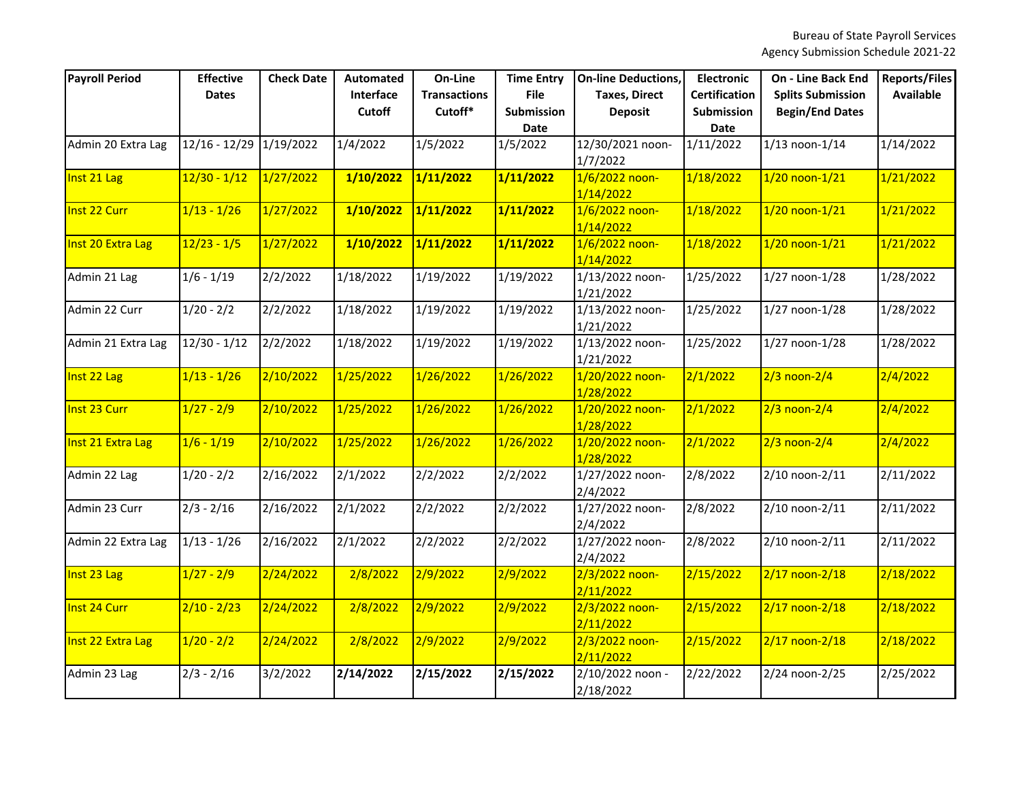| <b>Payroll Period</b> | <b>Effective</b><br><b>Dates</b> | <b>Check Date</b> | <b>Automated</b><br>Interface<br><b>Cutoff</b> | On-Line<br><b>Transactions</b><br>Cutoff* | <b>Time Entry</b><br><b>File</b><br><b>Submission</b><br><b>Date</b> | <b>On-line Deductions,</b><br><b>Taxes, Direct</b><br><b>Deposit</b> | <b>Electronic</b><br><b>Certification</b><br>Submission<br>Date | <b>On - Line Back End</b><br><b>Splits Submission</b><br><b>Begin/End Dates</b> | <b>Reports/Files</b><br><b>Available</b> |
|-----------------------|----------------------------------|-------------------|------------------------------------------------|-------------------------------------------|----------------------------------------------------------------------|----------------------------------------------------------------------|-----------------------------------------------------------------|---------------------------------------------------------------------------------|------------------------------------------|
| Admin 20 Extra Lag    | $12/16 - 12/29$                  | 1/19/2022         | 1/4/2022                                       | 1/5/2022                                  | 1/5/2022                                                             | 12/30/2021 noon-<br>1/7/2022                                         | 1/11/2022                                                       | $1/13$ noon- $1/14$                                                             | 1/14/2022                                |
| Inst 21 Lag           | 12/30 - 1/12                     | 1/27/2022         | 1/10/2022                                      | 1/11/2022                                 | 1/11/2022                                                            | $1/6/2022$ noon-<br>1/14/2022                                        | 1/18/2022                                                       | $1/20$ noon- $1/21$                                                             | 1/21/2022                                |
| Inst 22 Curr          | $1/13 - 1/26$                    | 1/27/2022         | 1/10/2022                                      | 1/11/2022                                 | 1/11/2022                                                            | 1/6/2022 noon-<br>1/14/2022                                          | 1/18/2022                                                       | 1/20 noon-1/21                                                                  | 1/21/2022                                |
| Inst 20 Extra Lag     | $12/23 - 1/5$                    | 1/27/2022         | 1/10/2022                                      | 1/11/2022                                 | 1/11/2022                                                            | 1/6/2022 noon-<br>1/14/2022                                          | 1/18/2022                                                       | $1/20$ noon- $1/21$                                                             | 1/21/2022                                |
| Admin 21 Lag          | $1/6 - 1/19$                     | 2/2/2022          | 1/18/2022                                      | 1/19/2022                                 | 1/19/2022                                                            | 1/13/2022 noon-<br>1/21/2022                                         | 1/25/2022                                                       | $1/27$ noon- $1/28$                                                             | 1/28/2022                                |
| Admin 22 Curr         | $1/20 - 2/2$                     | 2/2/2022          | 1/18/2022                                      | 1/19/2022                                 | 1/19/2022                                                            | 1/13/2022 noon-<br>1/21/2022                                         | 1/25/2022                                                       | 1/27 noon-1/28                                                                  | 1/28/2022                                |
| Admin 21 Extra Lag    | $12/30 - 1/12$                   | 2/2/2022          | 1/18/2022                                      | 1/19/2022                                 | 1/19/2022                                                            | 1/13/2022 noon-<br>1/21/2022                                         | 1/25/2022                                                       | $1/27$ noon- $1/28$                                                             | 1/28/2022                                |
| Inst 22 Lag           | $1/13 - 1/26$                    | 2/10/2022         | 1/25/2022                                      | 1/26/2022                                 | 1/26/2022                                                            | 1/20/2022 noon-<br>1/28/2022                                         | 2/1/2022                                                        | $2/3$ noon- $2/4$                                                               | 2/4/2022                                 |
| Inst 23 Curr          | $1/27 - 2/9$                     | 2/10/2022         | 1/25/2022                                      | 1/26/2022                                 | 1/26/2022                                                            | 1/20/2022 noon-<br>1/28/2022                                         | 2/1/2022                                                        | $2/3$ noon- $2/4$                                                               | 2/4/2022                                 |
| Inst 21 Extra Lag     | $1/6 - 1/19$                     | 2/10/2022         | 1/25/2022                                      | 1/26/2022                                 | 1/26/2022                                                            | 1/20/2022 noon-<br>1/28/2022                                         | 2/1/2022                                                        | $2/3$ noon- $2/4$                                                               | 2/4/2022                                 |
| Admin 22 Lag          | $1/20 - 2/2$                     | 2/16/2022         | 2/1/2022                                       | 2/2/2022                                  | 2/2/2022                                                             | 1/27/2022 noon-<br>2/4/2022                                          | 2/8/2022                                                        | 2/10 noon-2/11                                                                  | 2/11/2022                                |
| Admin 23 Curr         | $2/3 - 2/16$                     | 2/16/2022         | 2/1/2022                                       | 2/2/2022                                  | 2/2/2022                                                             | 1/27/2022 noon-<br>2/4/2022                                          | 2/8/2022                                                        | 2/10 noon-2/11                                                                  | 2/11/2022                                |
| Admin 22 Extra Lag    | $1/13 - 1/26$                    | 2/16/2022         | 2/1/2022                                       | 2/2/2022                                  | 2/2/2022                                                             | 1/27/2022 noon-<br>2/4/2022                                          | 2/8/2022                                                        | 2/10 noon-2/11                                                                  | 2/11/2022                                |
| Inst 23 Lag           | $1/27 - 2/9$                     | 2/24/2022         | 2/8/2022                                       | 2/9/2022                                  | 2/9/2022                                                             | 2/3/2022 noon-<br>2/11/2022                                          | 2/15/2022                                                       | $2/17$ noon- $2/18$                                                             | 2/18/2022                                |
| Inst 24 Curr          | $2/10 - 2/23$                    | 2/24/2022         | 2/8/2022                                       | 2/9/2022                                  | 2/9/2022                                                             | 2/3/2022 noon-<br>2/11/2022                                          | 2/15/2022                                                       | $2/17$ noon- $2/18$                                                             | 2/18/2022                                |
| Inst 22 Extra Lag     | $1/20 - 2/2$                     | 2/24/2022         | 2/8/2022                                       | 2/9/2022                                  | 2/9/2022                                                             | $2/3/2022$ noon-<br>2/11/2022                                        | 2/15/2022                                                       | $2/17$ noon- $2/18$                                                             | 2/18/2022                                |
| Admin 23 Lag          | $2/3 - 2/16$                     | 3/2/2022          | 2/14/2022                                      | 2/15/2022                                 | 2/15/2022                                                            | 2/10/2022 noon -<br>2/18/2022                                        | 2/22/2022                                                       | 2/24 noon-2/25                                                                  | 2/25/2022                                |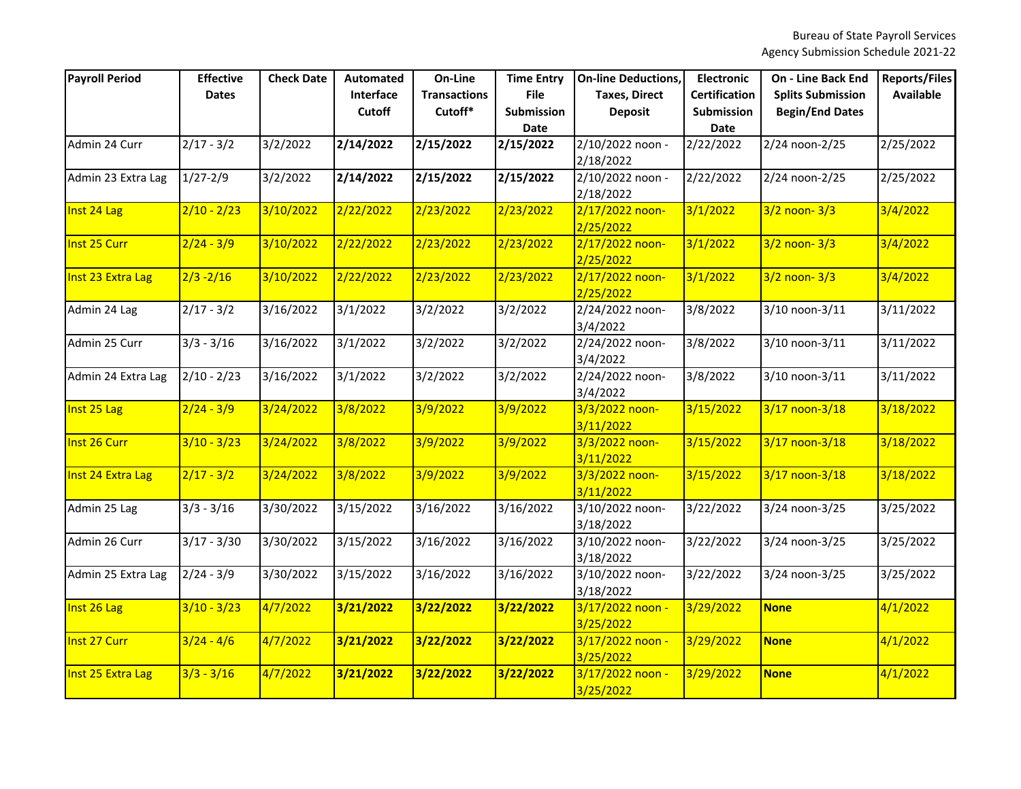| <b>Payroll Period</b> | <b>Effective</b><br><b>Dates</b> | <b>Check Date</b> | Automated<br>Interface<br>Cutoff | On-Line<br><b>Transactions</b><br>Cutoff* | <b>Time Entry</b><br><b>File</b><br>Submission<br>Date | <b>On-line Deductions,</b><br><b>Taxes, Direct</b><br><b>Deposit</b> | <b>Electronic</b><br><b>Certification</b><br>Submission<br>Date | <b>On - Line Back End</b><br><b>Splits Submission</b><br><b>Begin/End Dates</b> | <b>Reports/Files</b><br><b>Available</b> |
|-----------------------|----------------------------------|-------------------|----------------------------------|-------------------------------------------|--------------------------------------------------------|----------------------------------------------------------------------|-----------------------------------------------------------------|---------------------------------------------------------------------------------|------------------------------------------|
| Admin 24 Curr         | $2/17 - 3/2$                     | 3/2/2022          | 2/14/2022                        | 2/15/2022                                 | 2/15/2022                                              | 2/10/2022 noon -<br>2/18/2022                                        | 2/22/2022                                                       | 2/24 noon-2/25                                                                  | 2/25/2022                                |
| Admin 23 Extra Lag    | $1/27 - 2/9$                     | 3/2/2022          | 2/14/2022                        | 2/15/2022                                 | 2/15/2022                                              | 2/10/2022 noon -<br>2/18/2022                                        | 2/22/2022                                                       | 2/24 noon-2/25                                                                  | 2/25/2022                                |
| Inst 24 Lag           | $2/10 - 2/23$                    | 3/10/2022         | 2/22/2022                        | 2/23/2022                                 | 2/23/2022                                              | 2/17/2022 noon-<br>2/25/2022                                         | 3/1/2022                                                        | $3/2$ noon- $3/3$                                                               | 3/4/2022                                 |
| Inst 25 Curr          | $2/24 - 3/9$                     | 3/10/2022         | 2/22/2022                        | 2/23/2022                                 | 2/23/2022                                              | 2/17/2022 noon-<br>2/25/2022                                         | 3/1/2022                                                        | $3/2$ noon- $3/3$                                                               | 3/4/2022                                 |
| Inst 23 Extra Lag     | $2/3 - 2/16$                     | 3/10/2022         | 2/22/2022                        | 2/23/2022                                 | 2/23/2022                                              | 2/17/2022 noon-<br>2/25/2022                                         | 3/1/2022                                                        | $3/2$ noon- $3/3$                                                               | 3/4/2022                                 |
| Admin 24 Lag          | $2/17 - 3/2$                     | 3/16/2022         | 3/1/2022                         | 3/2/2022                                  | 3/2/2022                                               | 2/24/2022 noon-<br>3/4/2022                                          | 3/8/2022                                                        | 3/10 noon-3/11                                                                  | 3/11/2022                                |
| Admin 25 Curr         | $3/3 - 3/16$                     | 3/16/2022         | 3/1/2022                         | 3/2/2022                                  | 3/2/2022                                               | 2/24/2022 noon-<br>3/4/2022                                          | 3/8/2022                                                        | 3/10 noon-3/11                                                                  | 3/11/2022                                |
| Admin 24 Extra Lag    | $2/10 - 2/23$                    | 3/16/2022         | 3/1/2022                         | 3/2/2022                                  | 3/2/2022                                               | 2/24/2022 noon-<br>3/4/2022                                          | 3/8/2022                                                        | 3/10 noon-3/11                                                                  | 3/11/2022                                |
| Inst 25 Lag           | $2/24 - 3/9$                     | 3/24/2022         | 3/8/2022                         | 3/9/2022                                  | 3/9/2022                                               | 3/3/2022 noon-<br>3/11/2022                                          | 3/15/2022                                                       | 3/17 noon-3/18                                                                  | 3/18/2022                                |
| Inst 26 Curr          | $3/10 - 3/23$                    | 3/24/2022         | 3/8/2022                         | 3/9/2022                                  | 3/9/2022                                               | 3/3/2022 noon-<br>3/11/2022                                          | 3/15/2022                                                       | 3/17 noon-3/18                                                                  | 3/18/2022                                |
| Inst 24 Extra Lag     | $2/17 - 3/2$                     | 3/24/2022         | 3/8/2022                         | 3/9/2022                                  | 3/9/2022                                               | 3/3/2022 noon-<br>3/11/2022                                          | 3/15/2022                                                       | 3/17 noon-3/18                                                                  | 3/18/2022                                |
| Admin 25 Lag          | $3/3 - 3/16$                     | 3/30/2022         | 3/15/2022                        | 3/16/2022                                 | 3/16/2022                                              | 3/10/2022 noon-<br>3/18/2022                                         | 3/22/2022                                                       | 3/24 noon-3/25                                                                  | 3/25/2022                                |
| Admin 26 Curr         | $3/17 - 3/30$                    | 3/30/2022         | 3/15/2022                        | 3/16/2022                                 | 3/16/2022                                              | 3/10/2022 noon-<br>3/18/2022                                         | 3/22/2022                                                       | 3/24 noon-3/25                                                                  | 3/25/2022                                |
| Admin 25 Extra Lag    | $2/24 - 3/9$                     | 3/30/2022         | 3/15/2022                        | 3/16/2022                                 | 3/16/2022                                              | 3/10/2022 noon-<br>3/18/2022                                         | 3/22/2022                                                       | 3/24 noon-3/25                                                                  | 3/25/2022                                |
| Inst 26 Lag           | $3/10 - 3/23$                    | 4/7/2022          | 3/21/2022                        | 3/22/2022                                 | 3/22/2022                                              | 3/17/2022 noon -<br>3/25/2022                                        | 3/29/2022                                                       | <b>None</b>                                                                     | 4/1/2022                                 |
| Inst 27 Curr          | $3/24 - 4/6$                     | 4/7/2022          | 3/21/2022                        | 3/22/2022                                 | 3/22/2022                                              | 3/17/2022 noon -<br>3/25/2022                                        | 3/29/2022                                                       | <b>None</b>                                                                     | 4/1/2022                                 |
| Inst 25 Extra Lag     | $3/3 - 3/16$                     | 4/7/2022          | 3/21/2022                        | 3/22/2022                                 | 3/22/2022                                              | 3/17/2022 noon -<br>3/25/2022                                        | 3/29/2022                                                       | <b>None</b>                                                                     | 4/1/2022                                 |